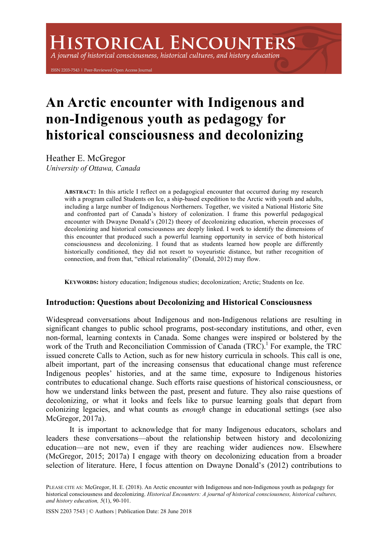# **HISTORICAL ENCOUNTERS**

A journal of historical consciousness, historical cultures, and history education

ISSN 2203-7543 | Peer-Reviewed Open Access Journal

# **An Arctic encounter with Indigenous and non-Indigenous youth as pedagogy for historical consciousness and decolonizing**

Heather E. McGregor *University of Ottawa, Canada*

> **ABSTRACT:** In this article I reflect on a pedagogical encounter that occurred during my research with a program called Students on Ice, a ship-based expedition to the Arctic with youth and adults, including a large number of Indigenous Northerners. Together, we visited a National Historic Site and confronted part of Canada's history of colonization. I frame this powerful pedagogical encounter with Dwayne Donald's (2012) theory of decolonizing education, wherein processes of decolonizing and historical consciousness are deeply linked. I work to identify the dimensions of this encounter that produced such a powerful learning opportunity in service of both historical consciousness and decolonizing. I found that as students learned how people are differently historically conditioned, they did not resort to voyeuristic distance, but rather recognition of connection, and from that, "ethical relationality" (Donald, 2012) may flow.

**KEYWORDS:** history education; Indigenous studies; decolonization; Arctic; Students on Ice.

#### **Introduction: Questions about Decolonizing and Historical Consciousness**

Widespread conversations about Indigenous and non-Indigenous relations are resulting in significant changes to public school programs, post-secondary institutions, and other, even non-formal, learning contexts in Canada. Some changes were inspired or bolstered by the work of the Truth and Reconciliation Commission of Canada (TRC).<sup>1</sup> For example, the TRC issued concrete Calls to Action, such as for new history curricula in schools. This call is one, albeit important, part of the increasing consensus that educational change must reference Indigenous peoples' histories, and at the same time, exposure to Indigenous histories contributes to educational change. Such efforts raise questions of historical consciousness, or how we understand links between the past, present and future. They also raise questions of decolonizing, or what it looks and feels like to pursue learning goals that depart from colonizing legacies, and what counts as *enough* change in educational settings (see also McGregor, 2017a).

It is important to acknowledge that for many Indigenous educators, scholars and leaders these conversations—about the relationship between history and decolonizing education—are not new, even if they are reaching wider audiences now. Elsewhere (McGregor, 2015; 2017a) I engage with theory on decolonizing education from a broader selection of literature. Here, I focus attention on Dwayne Donald's (2012) contributions to

ISSN 2203 7543 | © Authors | Publication Date: 28 June 2018

PLEASE CITE AS: McGregor, H. E. (2018). An Arctic encounter with Indigenous and non-Indigenous youth as pedagogy for historical consciousness and decolonizing. *Historical Encounters: A journal of historical consciousness, historical cultures, and history education, 5*(1), 90-101.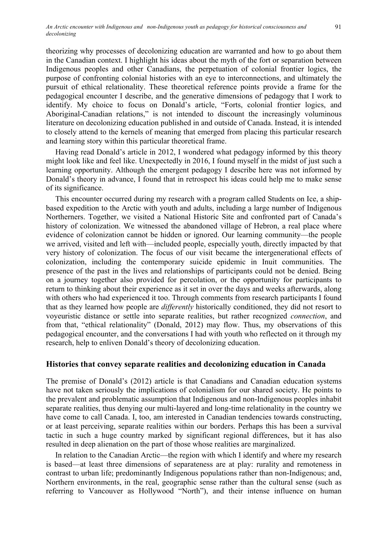theorizing why processes of decolonizing education are warranted and how to go about them in the Canadian context. I highlight his ideas about the myth of the fort or separation between Indigenous peoples and other Canadians, the perpetuation of colonial frontier logics, the purpose of confronting colonial histories with an eye to interconnections, and ultimately the pursuit of ethical relationality. These theoretical reference points provide a frame for the pedagogical encounter I describe, and the generative dimensions of pedagogy that I work to identify. My choice to focus on Donald's article, "Forts, colonial frontier logics, and Aboriginal-Canadian relations," is not intended to discount the increasingly voluminous literature on decolonizing education published in and outside of Canada. Instead, it is intended to closely attend to the kernels of meaning that emerged from placing this particular research and learning story within this particular theoretical frame.

Having read Donald's article in 2012, I wondered what pedagogy informed by this theory might look like and feel like. Unexpectedly in 2016, I found myself in the midst of just such a learning opportunity. Although the emergent pedagogy I describe here was not informed by Donald's theory in advance, I found that in retrospect his ideas could help me to make sense of its significance.

This encounter occurred during my research with a program called Students on Ice, a shipbased expedition to the Arctic with youth and adults, including a large number of Indigenous Northerners. Together, we visited a National Historic Site and confronted part of Canada's history of colonization. We witnessed the abandoned village of Hebron, a real place where evidence of colonization cannot be hidden or ignored. Our learning community—the people we arrived, visited and left with—included people, especially youth, directly impacted by that very history of colonization. The focus of our visit became the intergenerational effects of colonization, including the contemporary suicide epidemic in Inuit communities. The presence of the past in the lives and relationships of participants could not be denied. Being on a journey together also provided for percolation, or the opportunity for participants to return to thinking about their experience as it set in over the days and weeks afterwards, along with others who had experienced it too. Through comments from research participants I found that as they learned how people are *differently* historically conditioned, they did not resort to voyeuristic distance or settle into separate realities, but rather recognized *connection*, and from that, "ethical relationality" (Donald, 2012) may flow. Thus, my observations of this pedagogical encounter, and the conversations I had with youth who reflected on it through my research, help to enliven Donald's theory of decolonizing education.

#### **Histories that convey separate realities and decolonizing education in Canada**

The premise of Donald's (2012) article is that Canadians and Canadian education systems have not taken seriously the implications of colonialism for our shared society. He points to the prevalent and problematic assumption that Indigenous and non-Indigenous peoples inhabit separate realities, thus denying our multi-layered and long-time relationality in the country we have come to call Canada. I, too, am interested in Canadian tendencies towards constructing, or at least perceiving, separate realities within our borders. Perhaps this has been a survival tactic in such a huge country marked by significant regional differences, but it has also resulted in deep alienation on the part of those whose realities are marginalized.

In relation to the Canadian Arctic—the region with which I identify and where my research is based—at least three dimensions of separateness are at play: rurality and remoteness in contrast to urban life; predominantly Indigenous populations rather than non-Indigenous; and, Northern environments, in the real, geographic sense rather than the cultural sense (such as referring to Vancouver as Hollywood "North"), and their intense influence on human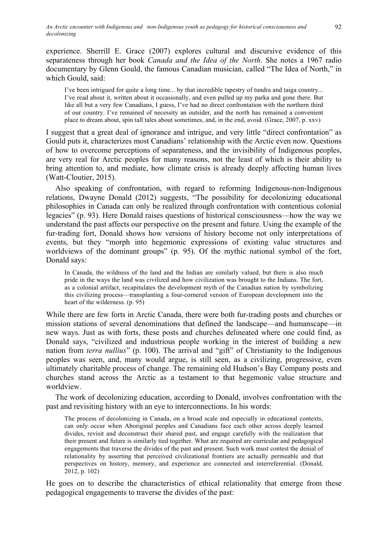experience. Sherrill E. Grace (2007) explores cultural and discursive evidence of this separateness through her book *Canada and the Idea of the North*. She notes a 1967 radio documentary by Glenn Gould, the famous Canadian musician, called "The Idea of North," in which Gould, said:

I've been intrigued for quite a long time... by that incredible tapestry of tundra and taiga country... I've read about it, written about it occasionally, and even pulled up my parka and gone there. But like all but a very few Canadians, I guess, I've had no direct confrontation with the northern third of our country. I've remained of necessity an outsider, and the north has remained a convenient place to dream about, spin tall tales about sometimes, and, in the end, avoid. (Grace, 2007, p. xxv)

I suggest that a great deal of ignorance and intrigue, and very little "direct confrontation" as Gould puts it, characterizes most Canadians' relationship with the Arctic even now. Questions of how to overcome perceptions of separateness, and the invisibility of Indigenous peoples, are very real for Arctic peoples for many reasons, not the least of which is their ability to bring attention to, and mediate, how climate crisis is already deeply affecting human lives (Watt-Cloutier, 2015).

Also speaking of confrontation, with regard to reforming Indigenous-non-Indigenous relations, Dwayne Donald (2012) suggests, "The possibility for decolonizing educational philosophies in Canada can only be realized through confrontation with contentious colonial legacies" (p. 93). Here Donald raises questions of historical consciousness—how the way we understand the past affects our perspective on the present and future. Using the example of the fur-trading fort, Donald shows how versions of history become not only interpretations of events, but they "morph into hegemonic expressions of existing value structures and worldviews of the dominant groups" (p. 95). Of the mythic national symbol of the fort, Donald says:

In Canada, the wildness of the land and the Indian are similarly valued, but there is also much pride in the ways the land was civilized and how civilization was brought to the Indians. The fort, as a colonial artifact, recapitulates the development myth of the Canadian nation by symbolizing this civilizing process—transplanting a four-cornered version of European development into the heart of the wilderness. (p. 95)

While there are few forts in Arctic Canada, there were both fur-trading posts and churches or mission stations of several denominations that defined the landscape—and humanscape—in new ways. Just as with forts, these posts and churches delineated where one could find, as Donald says, "civilized and industrious people working in the interest of building a new nation from *terra nullius*" (p. 100). The arrival and "gift" of Christianity to the Indigenous peoples was seen, and, many would argue, is still seen, as a civilizing, progressive, even ultimately charitable process of change. The remaining old Hudson's Bay Company posts and churches stand across the Arctic as a testament to that hegemonic value structure and worldview.

The work of decolonizing education, according to Donald, involves confrontation with the past and revisiting history with an eye to interconnections. In his words:

The process of decolonizing in Canada, on a broad scale and especially in educational contexts, can only occur when Aboriginal peoples and Canadians face each other across deeply learned divides, revisit and deconstruct their shared past, and engage carefully with the realization that their present and future is similarly tied together. What are required are curricular and pedagogical engagements that traverse the divides of the past and present. Such work must contest the denial of relationality by asserting that perceived civilizational frontiers are actually permeable and that perspectives on history, memory, and experience are connected and interreferential. (Donald, 2012, p. 102)

He goes on to describe the characteristics of ethical relationality that emerge from these pedagogical engagements to traverse the divides of the past: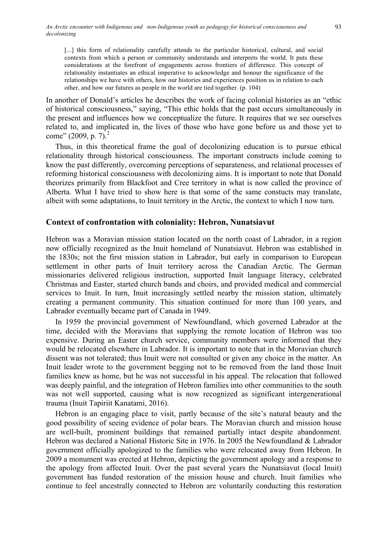[...] this form of relationality carefully attends to the particular historical, cultural, and social contexts from which a person or community understands and interprets the world. It puts these considerations at the forefront of engagements across frontiers of difference. This concept of relationality instantiates an ethical imperative to acknowledge and honour the significance of the relationships we have with others, how our histories and experiences position us in relation to each other, and how our futures as people in the world are tied together. (p. 104)

In another of Donald's articles he describes the work of facing colonial histories as an "ethic of historical consciousness," saying, "This ethic holds that the past occurs simultaneously in the present and influences how we conceptualize the future. It requires that we see ourselves related to, and implicated in, the lives of those who have gone before us and those yet to come" (2009, p. 7). $^{2}$ 

Thus, in this theoretical frame the goal of decolonizing education is to pursue ethical relationality through historical consciousness. The important constructs include coming to know the past differently, overcoming perceptions of separateness, and relational processes of reforming historical consciousness with decolonizing aims. It is important to note that Donald theorizes primarily from Blackfoot and Cree territory in what is now called the province of Alberta. What I have tried to show here is that some of the same constucts may translate, albeit with some adaptations, to Inuit territory in the Arctic, the context to which I now turn.

### **Context of confrontation with coloniality: Hebron, Nunatsiavut**

Hebron was a Moravian mission station located on the north coast of Labrador, in a region now officially recognized as the Inuit homeland of Nunatsiavut. Hebron was established in the 1830s; not the first mission station in Labrador, but early in comparison to European settlement in other parts of Inuit territory across the Canadian Arctic. The German missionaries delivered religious instruction, supported Inuit language literacy, celebrated Christmas and Easter, started church bands and choirs, and provided medical and commercial services to Inuit. In turn, Inuit increasingly settled nearby the mission station, ultimately creating a permanent community. This situation continued for more than 100 years, and Labrador eventually became part of Canada in 1949.

In 1959 the provincial government of Newfoundland, which governed Labrador at the time, decided with the Moravians that supplying the remote location of Hebron was too expensive. During an Easter church service, community members were informed that they would be relocated elsewhere in Labrador. It is important to note that in the Moravian church dissent was not tolerated; thus Inuit were not consulted or given any choice in the matter. An Inuit leader wrote to the government begging not to be removed from the land those Inuit families knew as home, but he was not successful in his appeal. The relocation that followed was deeply painful, and the integration of Hebron families into other communities to the south was not well supported, causing what is now recognized as significant intergenerational trauma (Inuit Tapiriit Kanatami, 2016).

Hebron is an engaging place to visit, partly because of the site's natural beauty and the good possibility of seeing evidence of polar bears. The Moravian church and mission house are well-built, prominent buildings that remained partially intact despite abandonment. Hebron was declared a National Historic Site in 1976. In 2005 the Newfoundland & Labrador government officially apologized to the families who were relocated away from Hebron. In 2009 a monument was erected at Hebron, depicting the government apology and a response to the apology from affected Inuit. Over the past several years the Nunatsiavut (local Inuit) government has funded restoration of the mission house and church. Inuit families who continue to feel ancestrally connected to Hebron are voluntarily conducting this restoration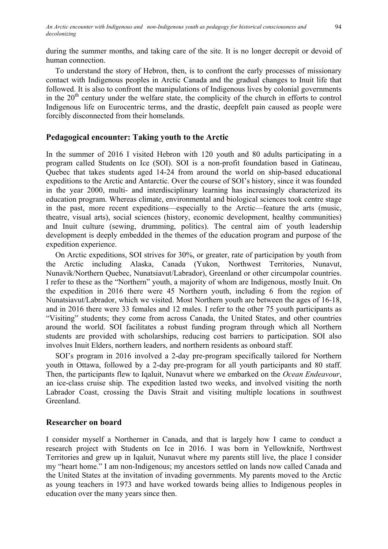during the summer months, and taking care of the site. It is no longer decrepit or devoid of human connection.

To understand the story of Hebron, then, is to confront the early processes of missionary contact with Indigenous peoples in Arctic Canada and the gradual changes to Inuit life that followed. It is also to confront the manipulations of Indigenous lives by colonial governments in the  $20<sup>th</sup>$  century under the welfare state, the complicity of the church in efforts to control Indigenous life on Eurocentric terms, and the drastic, deepfelt pain caused as people were forcibly disconnected from their homelands.

### **Pedagogical encounter: Taking youth to the Arctic**

In the summer of 2016 I visited Hebron with 120 youth and 80 adults participating in a program called Students on Ice (SOI). SOI is a non-profit foundation based in Gatineau, Quebec that takes students aged 14-24 from around the world on ship-based educational expeditions to the Arctic and Antarctic. Over the course of SOI's history, since it was founded in the year 2000, multi- and interdisciplinary learning has increasingly characterized its education program. Whereas climate, environmental and biological sciences took centre stage in the past, more recent expeditions—especially to the Arctic—feature the arts (music, theatre, visual arts), social sciences (history, economic development, healthy communities) and Inuit culture (sewing, drumming, politics). The central aim of youth leadership development is deeply embedded in the themes of the education program and purpose of the expedition experience.

On Arctic expeditions, SOI strives for 30%, or greater, rate of participation by youth from the Arctic including Alaska, Canada (Yukon, Northwest Territories, Nunavut, Nunavik/Northern Quebec, Nunatsiavut/Labrador), Greenland or other circumpolar countries. I refer to these as the "Northern" youth, a majority of whom are Indigenous, mostly Inuit. On the expedition in 2016 there were 45 Northern youth, including 6 from the region of Nunatsiavut/Labrador, which we visited. Most Northern youth are between the ages of 16-18, and in 2016 there were 33 females and 12 males. I refer to the other 75 youth participants as "Visiting" students; they come from across Canada, the United States, and other countries around the world. SOI facilitates a robust funding program through which all Northern students are provided with scholarships, reducing cost barriers to participation. SOI also involves Inuit Elders, northern leaders, and northern residents as onboard staff.

SOI's program in 2016 involved a 2-day pre-program specifically tailored for Northern youth in Ottawa, followed by a 2-day pre-program for all youth participants and 80 staff. Then, the participants flew to Iqaluit, Nunavut where we embarked on the *Ocean Endeavour*, an ice-class cruise ship. The expedition lasted two weeks, and involved visiting the north Labrador Coast, crossing the Davis Strait and visiting multiple locations in southwest Greenland.

### **Researcher on board**

I consider myself a Northerner in Canada, and that is largely how I came to conduct a research project with Students on Ice in 2016. I was born in Yellowknife, Northwest Territories and grew up in Iqaluit, Nunavut where my parents still live, the place I consider my "heart home." I am non-Indigenous; my ancestors settled on lands now called Canada and the United States at the invitation of invading governments. My parents moved to the Arctic as young teachers in 1973 and have worked towards being allies to Indigenous peoples in education over the many years since then.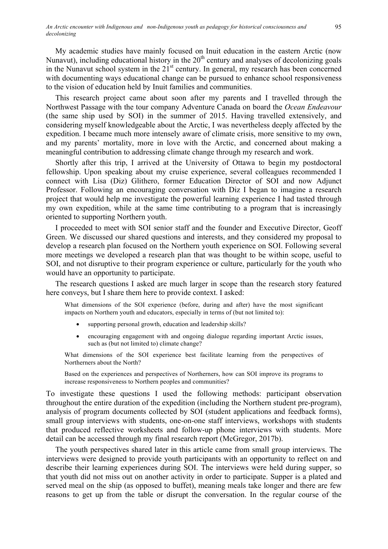My academic studies have mainly focused on Inuit education in the eastern Arctic (now Nunavut), including educational history in the  $20<sup>th</sup>$  century and analyses of decolonizing goals in the Nunavut school system in the  $21<sup>st</sup>$  century. In general, my research has been concerned with documenting ways educational change can be pursued to enhance school responsiveness to the vision of education held by Inuit families and communities.

This research project came about soon after my parents and I travelled through the Northwest Passage with the tour company Adventure Canada on board the *Ocean Endeavour* (the same ship used by SOI) in the summer of 2015. Having travelled extensively, and considering myself knowledgeable about the Arctic, I was nevertheless deeply affected by the expedition. I became much more intensely aware of climate crisis, more sensitive to my own, and my parents' mortality, more in love with the Arctic, and concerned about making a meaningful contribution to addressing climate change through my research and work.

Shortly after this trip, I arrived at the University of Ottawa to begin my postdoctoral fellowship. Upon speaking about my cruise experience, several colleagues recommended I connect with Lisa (Diz) Glithero, former Education Director of SOI and now Adjunct Professor. Following an encouraging conversation with Diz I began to imagine a research project that would help me investigate the powerful learning experience I had tasted through my own expedition, while at the same time contributing to a program that is increasingly oriented to supporting Northern youth.

I proceeded to meet with SOI senior staff and the founder and Executive Director, Geoff Green. We discussed our shared questions and interests, and they considered my proposal to develop a research plan focused on the Northern youth experience on SOI. Following several more meetings we developed a research plan that was thought to be within scope, useful to SOI, and not disruptive to their program experience or culture, particularly for the youth who would have an opportunity to participate.

The research questions I asked are much larger in scope than the research story featured here conveys, but I share them here to provide context. I asked:

What dimensions of the SOI experience (before, during and after) have the most significant impacts on Northern youth and educators, especially in terms of (but not limited to):

- supporting personal growth, education and leadership skills?
- encouraging engagement with and ongoing dialogue regarding important Arctic issues, such as (but not limited to) climate change?

What dimensions of the SOI experience best facilitate learning from the perspectives of Northerners about the North?

Based on the experiences and perspectives of Northerners, how can SOI improve its programs to increase responsiveness to Northern peoples and communities?

To investigate these questions I used the following methods: participant observation throughout the entire duration of the expedition (including the Northern student pre-program), analysis of program documents collected by SOI (student applications and feedback forms), small group interviews with students, one-on-one staff interviews, workshops with students that produced reflective worksheets and follow-up phone interviews with students. More detail can be accessed through my final research report (McGregor, 2017b).

The youth perspectives shared later in this article came from small group interviews. The interviews were designed to provide youth participants with an opportunity to reflect on and describe their learning experiences during SOI. The interviews were held during supper, so that youth did not miss out on another activity in order to participate. Supper is a plated and served meal on the ship (as opposed to buffet), meaning meals take longer and there are few reasons to get up from the table or disrupt the conversation. In the regular course of the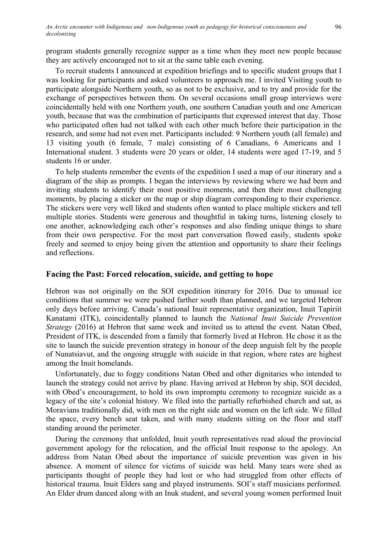program students generally recognize supper as a time when they meet new people because they are actively encouraged not to sit at the same table each evening.

To recruit students I announced at expedition briefings and to specific student groups that I was looking for participants and asked volunteers to approach me. I invited Visiting youth to participate alongside Northern youth, so as not to be exclusive, and to try and provide for the exchange of perspectives between them. On several occasions small group interviews were coincidentally held with one Northern youth, one southern Canadian youth and one American youth, because that was the combination of participants that expressed interest that day. Those who participated often had not talked with each other much before their participation in the research, and some had not even met. Participants included: 9 Northern youth (all female) and 13 visiting youth (6 female, 7 male) consisting of 6 Canadians, 6 Americans and 1 International student. 3 students were 20 years or older, 14 students were aged 17-19, and 5 students 16 or under.

To help students remember the events of the expedition I used a map of our itinerary and a diagram of the ship as prompts. I began the interviews by reviewing where we had been and inviting students to identify their most positive moments, and then their most challenging moments, by placing a sticker on the map or ship diagram corresponding to their experience. The stickers were very well liked and students often wanted to place multiple stickers and tell multiple stories. Students were generous and thoughtful in taking turns, listening closely to one another, acknowledging each other's responses and also finding unique things to share from their own perspective. For the most part conversation flowed easily, students spoke freely and seemed to enjoy being given the attention and opportunity to share their feelings and reflections.

#### **Facing the Past: Forced relocation, suicide, and getting to hope**

Hebron was not originally on the SOI expedition itinerary for 2016. Due to unusual ice conditions that summer we were pushed farther south than planned, and we targeted Hebron only days before arriving. Canada's national Inuit representative organization, Inuit Tapiriit Kanatami (ITK), coincidentally planned to launch the *National Inuit Suicide Prevention Strategy* (2016) at Hebron that same week and invited us to attend the event*.* Natan Obed, President of ITK, is descended from a family that formerly lived at Hebron. He chose it as the site to launch the suicide prevention strategy in honour of the deep anguish felt by the people of Nunatsiavut, and the ongoing struggle with suicide in that region, where rates are highest among the Inuit homelands.

Unfortunately, due to foggy conditions Natan Obed and other dignitaries who intended to launch the strategy could not arrive by plane. Having arrived at Hebron by ship, SOI decided, with Obed's encouragement, to hold its own impromptu ceremony to recognize suicide as a legacy of the site's colonial history. We filed into the partially refurbished church and sat, as Moravians traditionally did, with men on the right side and women on the left side. We filled the space, every bench seat taken, and with many students sitting on the floor and staff standing around the perimeter.

During the ceremony that unfolded, Inuit youth representatives read aloud the provincial government apology for the relocation, and the official Inuit response to the apology. An address from Natan Obed about the importance of suicide prevention was given in his absence. A moment of silence for victims of suicide was held. Many tears were shed as participants thought of people they had lost or who had struggled from other effects of historical trauma. Inuit Elders sang and played instruments. SOI's staff musicians performed. An Elder drum danced along with an Inuk student, and several young women performed Inuit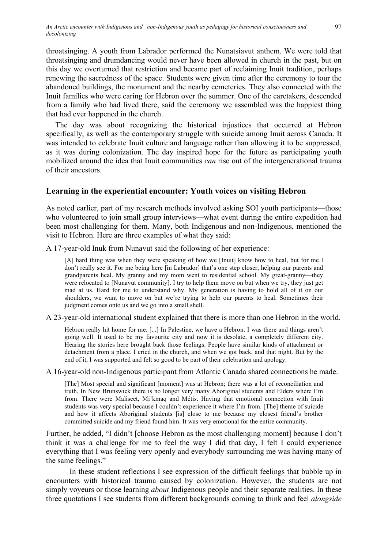throatsinging. A youth from Labrador performed the Nunatsiavut anthem. We were told that throatsinging and drumdancing would never have been allowed in church in the past, but on this day we overturned that restriction and became part of reclaiming Inuit tradition, perhaps renewing the sacredness of the space. Students were given time after the ceremony to tour the abandoned buildings, the monument and the nearby cemeteries. They also connected with the Inuit families who were caring for Hebron over the summer. One of the caretakers, descended from a family who had lived there, said the ceremony we assembled was the happiest thing that had ever happened in the church.

The day was about recognizing the historical injustices that occurred at Hebron specifically, as well as the contemporary struggle with suicide among Inuit across Canada. It was intended to celebrate Inuit culture and language rather than allowing it to be suppressed, as it was during colonization. The day inspired hope for the future as participating youth mobilized around the idea that Inuit communities *can* rise out of the intergenerational trauma of their ancestors.

#### **Learning in the experiential encounter: Youth voices on visiting Hebron**

As noted earlier, part of my research methods involved asking SOI youth participants—those who volunteered to join small group interviews—what event during the entire expedition had been most challenging for them. Many, both Indigenous and non-Indigenous, mentioned the visit to Hebron. Here are three examples of what they said:

A 17-year-old Inuk from Nunavut said the following of her experience:

[A] hard thing was when they were speaking of how we [Inuit] know how to heal, but for me I don't really see it. For me being here [in Labrador] that's one step closer, helping our parents and grandparents heal. My granny and my mom went to residential school. My great-granny—they were relocated to [Nunavut community]. I try to help them move on but when we try, they just get mad at us. Hard for me to understand why. My generation is having to hold all of it on our shoulders, we want to move on but we're trying to help our parents to heal. Sometimes their judgment comes onto us and we go into a small shell.

#### A 23-year-old international student explained that there is more than one Hebron in the world.

Hebron really hit home for me. [...] In Palestine, we have a Hebron. I was there and things aren't going well. It used to be my favourite city and now it is desolate, a completely different city. Hearing the stories here brought back those feelings. People have similar kinds of attachment or detachment from a place. I cried in the church, and when we got back, and that night. But by the end of it, I was supported and felt so good to be part of their celebration and apology.

#### A 16-year-old non-Indigenous participant from Atlantic Canada shared connections he made.

[The] Most special and significant [moment] was at Hebron; there was a lot of reconciliation and truth. In New Brunswick there is no longer very many Aboriginal students and Elders where I'm from. There were Maliseet, Mi'kmaq and Métis. Having that emotional connection with Inuit students was very special because I couldn't experience it where I'm from. [The] theme of suicide and how it affects Aboriginal students [is] close to me because my closest friend's brother committed suicide and my friend found him. It was very emotional for the entire community.

Further, he added, "I didn't [choose Hebron as the most challenging moment] because I don't think it was a challenge for me to feel the way I did that day, I felt I could experience everything that I was feeling very openly and everybody surrounding me was having many of the same feelings."

In these student reflections I see expression of the difficult feelings that bubble up in encounters with historical trauma caused by colonization. However, the students are not simply voyeurs or those learning *about* Indigenous people and their separate realities. In these three quotations I see students from different backgrounds coming to think and feel *alongside*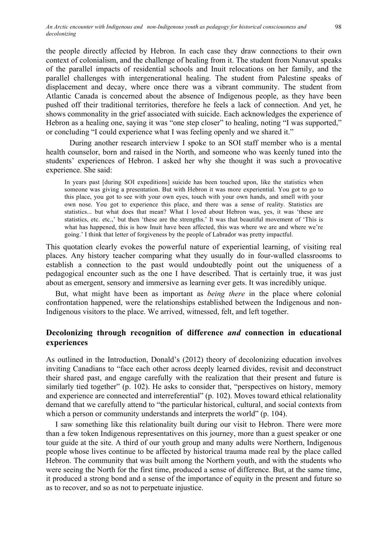the people directly affected by Hebron. In each case they draw connections to their own context of colonialism, and the challenge of healing from it. The student from Nunavut speaks of the parallel impacts of residential schools and Inuit relocations on her family, and the parallel challenges with intergenerational healing. The student from Palestine speaks of displacement and decay, where once there was a vibrant community. The student from Atlantic Canada is concerned about the absence of Indigenous people, as they have been pushed off their traditional territories, therefore he feels a lack of connection. And yet, he shows commonality in the grief associated with suicide. Each acknowledges the experience of Hebron as a healing one, saying it was "one step closer" to healing, noting "I was supported," or concluding "I could experience what I was feeling openly and we shared it."

During another research interview I spoke to an SOI staff member who is a mental health counselor, born and raised in the North, and someone who was keenly tuned into the students' experiences of Hebron. I asked her why she thought it was such a provocative experience. She said:

In years past [during SOI expeditions] suicide has been touched upon, like the statistics when someone was giving a presentation. But with Hebron it was more experiential. You got to go to this place, you got to see with your own eyes, touch with your own hands, and smell with your own nose. You got to experience this place, and there was a sense of reality. Statistics are statistics... but what does that mean? What I loved about Hebron was, yes, it was 'these are statistics, etc. etc.,' but then 'these are the strengths.' It was that beautiful movement of 'This is what has happened, this is how Inuit have been affected, this was where we are and where we're going.' I think that letter of forgiveness by the people of Labrador was pretty impactful.

This quotation clearly evokes the powerful nature of experiential learning, of visiting real places. Any history teacher comparing what they usually do in four-walled classrooms to establish a connection to the past would undoubtedly point out the uniqueness of a pedagogical encounter such as the one I have described. That is certainly true, it was just about as emergent, sensory and immersive as learning ever gets. It was incredibly unique.

But, what might have been as important as *being there* in the place where colonial confrontation happened, were the relationships established between the Indigenous and non-Indigenous visitors to the place. We arrived, witnessed, felt, and left together.

## **Decolonizing through recognition of difference** *and* **connection in educational experiences**

As outlined in the Introduction, Donald's (2012) theory of decolonizing education involves inviting Canadians to "face each other across deeply learned divides, revisit and deconstruct their shared past, and engage carefully with the realization that their present and future is similarly tied together" (p. 102). He asks to consider that, "perspectives on history, memory and experience are connected and interreferential" (p. 102). Moves toward ethical relationality demand that we carefully attend to "the particular historical, cultural, and social contexts from which a person or community understands and interprets the world" (p. 104).

I saw something like this relationality built during our visit to Hebron. There were more than a few token Indigenous representatives on this journey, more than a guest speaker or one tour guide at the site. A third of our youth group and many adults were Northern, Indigenous people whose lives continue to be affected by historical trauma made real by the place called Hebron. The community that was built among the Northern youth, and with the students who were seeing the North for the first time, produced a sense of difference. But, at the same time, it produced a strong bond and a sense of the importance of equity in the present and future so as to recover, and so as not to perpetuate injustice.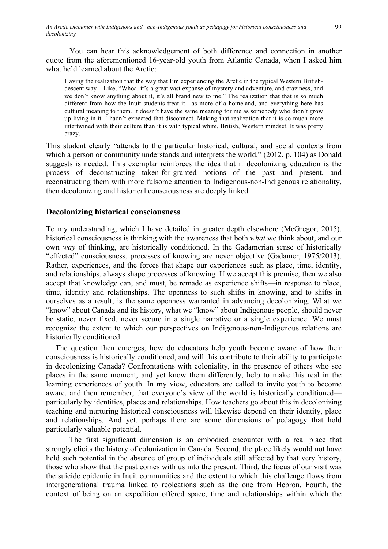You can hear this acknowledgement of both difference and connection in another quote from the aforementioned 16-year-old youth from Atlantic Canada, when I asked him what he'd learned about the Arctic:

Having the realization that the way that I'm experiencing the Arctic in the typical Western Britishdescent way—Like, "Whoa, it's a great vast expanse of mystery and adventure, and craziness, and we don't know anything about it, it's all brand new to me." The realization that that is so much different from how the Inuit students treat it—as more of a homeland, and everything here has cultural meaning to them. It doesn't have the same meaning for me as somebody who didn't grow up living in it. I hadn't expected that disconnect. Making that realization that it is so much more intertwined with their culture than it is with typical white, British, Western mindset. It was pretty crazy.

This student clearly "attends to the particular historical, cultural, and social contexts from which a person or community understands and interprets the world," (2012, p. 104) as Donald suggests is needed. This exemplar reinforces the idea that if decolonizing education is the process of deconstructing taken-for-granted notions of the past and present, and reconstructing them with more fulsome attention to Indigenous-non-Indigenous relationality, then decolonizing and historical consciousness are deeply linked.

### **Decolonizing historical consciousness**

To my understanding, which I have detailed in greater depth elsewhere (McGregor, 2015), historical consciousness is thinking with the awareness that both *what* we think about, and our own *way* of thinking, are historically conditioned. In the Gadamerian sense of historically "effected" consciousness, processes of knowing are never objective (Gadamer, 1975/2013). Rather, experiences, and the forces that shape our experiences such as place, time, identity, and relationships, always shape processes of knowing. If we accept this premise, then we also accept that knowledge can, and must, be remade as experience shifts—in response to place, time, identity and relationships. The openness to such shifts in knowing, and to shifts in ourselves as a result, is the same openness warranted in advancing decolonizing. What we "know" about Canada and its history, what we "know" about Indigenous people, should never be static, never fixed, never secure in a single narrative or a single experience. We must recognize the extent to which our perspectives on Indigenous-non-Indigenous relations are historically conditioned.

The question then emerges, how do educators help youth become aware of how their consciousness is historically conditioned, and will this contribute to their ability to participate in decolonizing Canada? Confrontations with coloniality, in the presence of others who see places in the same moment, and yet know them differently, help to make this real in the learning experiences of youth. In my view, educators are called to invite youth to become aware, and then remember, that everyone's view of the world is historically conditioned particularly by identities, places and relationships. How teachers go about this in decolonizing teaching and nurturing historical consciousness will likewise depend on their identity, place and relationships. And yet, perhaps there are some dimensions of pedagogy that hold particularly valuable potential.

The first significant dimension is an embodied encounter with a real place that strongly elicits the history of colonization in Canada. Second, the place likely would not have held such potential in the absence of group of individuals still affected by that very history, those who show that the past comes with us into the present. Third, the focus of our visit was the suicide epidemic in Inuit communities and the extent to which this challenge flows from intergenerational trauma linked to reolcations such as the one from Hebron. Fourth, the context of being on an expedition offered space, time and relationships within which the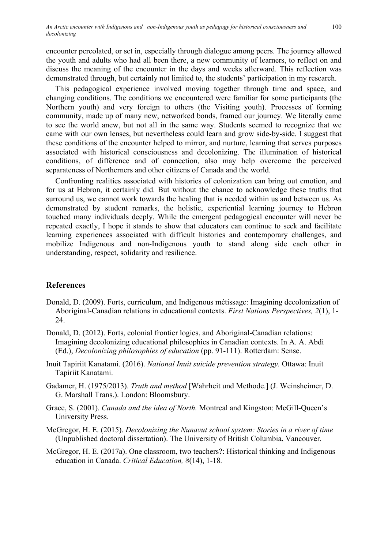encounter percolated, or set in, especially through dialogue among peers. The journey allowed the youth and adults who had all been there, a new community of learners, to reflect on and discuss the meaning of the encounter in the days and weeks afterward. This reflection was demonstrated through, but certainly not limited to, the students' participation in my research.

This pedagogical experience involved moving together through time and space, and changing conditions. The conditions we encountered were familiar for some participants (the Northern youth) and very foreign to others (the Visiting youth). Processes of forming community, made up of many new, networked bonds, framed our journey. We literally came to see the world anew, but not all in the same way. Students seemed to recognize that we came with our own lenses, but nevertheless could learn and grow side-by-side. I suggest that these conditions of the encounter helped to mirror, and nurture, learning that serves purposes associated with historical consciousness and decolonizing. The illumination of historical conditions, of difference and of connection, also may help overcome the perceived separateness of Northerners and other citizens of Canada and the world.

Confronting realities associated with histories of colonization can bring out emotion, and for us at Hebron, it certainly did. But without the chance to acknowledge these truths that surround us, we cannot work towards the healing that is needed within us and between us. As demonstrated by student remarks, the holistic, experiential learning journey to Hebron touched many individuals deeply. While the emergent pedagogical encounter will never be repeated exactly, I hope it stands to show that educators can continue to seek and facilitate learning experiences associated with difficult histories and contemporary challenges, and mobilize Indigenous and non-Indigenous youth to stand along side each other in understanding, respect, solidarity and resilience.

### **References**

- Donald, D. (2009). Forts, curriculum, and Indigenous métissage: Imagining decolonization of Aboriginal-Canadian relations in educational contexts. *First Nations Perspectives, 2*(1), 1- 24.
- Donald, D. (2012). Forts, colonial frontier logics, and Aboriginal-Canadian relations: Imagining decolonizing educational philosophies in Canadian contexts. In A. A. Abdi (Ed.), *Decolonizing philosophies of education* (pp. 91-111). Rotterdam: Sense.
- Inuit Tapiriit Kanatami. (2016). *National Inuit suicide prevention strategy.* Ottawa: Inuit Tapiriit Kanatami.
- Gadamer, H. (1975/2013). *Truth and method* [Wahrheit und Methode.] (J. Weinsheimer, D. G. Marshall Trans.). London: Bloomsbury.
- Grace, S. (2001). *Canada and the idea of North.* Montreal and Kingston: McGill-Queen's University Press.
- McGregor, H. E. (2015). *Decolonizing the Nunavut school system: Stories in a river of time* (Unpublished doctoral dissertation). The University of British Columbia, Vancouver.
- McGregor, H. E. (2017a). One classroom, two teachers?: Historical thinking and Indigenous education in Canada. *Critical Education, 8*(14), 1-18*.*